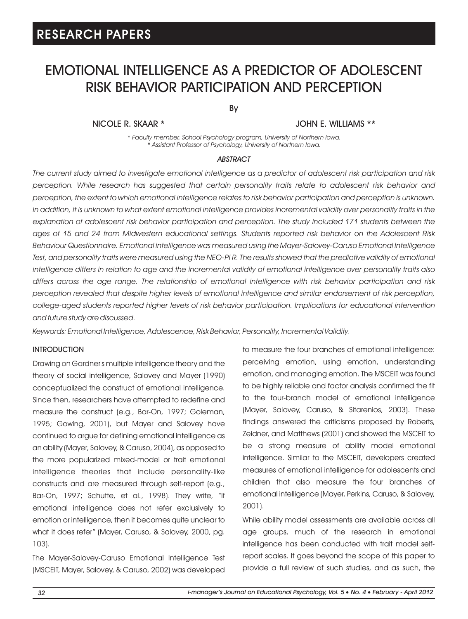# EMOTIONAL INTELLIGENCE AS A PREDICTOR OF ADOLESCENT RISK BEHAVIOR PARTICIPATION AND PERCEPTION

By

### NICOLE R. SKAAR \* JOHN E. WILLIAMS \*\*

*\* Faculty member, School Psychology program, University of Northern Iowa. \* Assistant Professor of Psychology, University of Northern Iowa.*

#### *ABSTRACT*

*The current study aimed to investigate emotional intelligence as a predictor of adolescent risk participation and risk perception. While research has suggested that certain personality traits relate to adolescent risk behavior and perception, the extent to which emotional intelligence relates to risk behavior participation and perception is unknown. In addition, it is unknown to what extent emotional intelligence provides incremental validity over personality traits in the explanation of adolescent risk behavior participation and perception. The study included 171 students between the ages of 15 and 24 from Midwestern educational settings. Students reported risk behavior on the Adolescent Risk Behaviour Questionnaire. Emotional intelligence was measured using the Mayer-Salovey-Caruso Emotional Intelligence*  Test, and personality traits were measured using the NEO-PI R. The results showed that the predictive validity of emotional *intelligence differs in relation to age and the incremental validity of emotional intelligence over personality traits also differs across the age range. The relationship of emotional intelligence with risk behavior participation and risk perception revealed that despite higher levels of emotional intelligence and similar endorsement of risk perception, college-aged students reported higher levels of risk behavior participation. Implications for educational intervention and future study are discussed.* 

*Keywords: Emotional Intelligence, Adolescence, Risk Behavior, Personality, Incremental Validity.*

#### INTRODUCTION

Drawing on Gardner's multiple intelligence theory and the theory of social intelligence, Salovey and Mayer (1990) conceptualized the construct of emotional intelligence. Since then, researchers have attempted to redefine and measure the construct (e.g., Bar-On, 1997; Goleman, 1995; Gowing, 2001), but Mayer and Salovey have continued to argue for defining emotional intelligence as an ability (Mayer, Salovey, & Caruso, 2004), as opposed to the more popularized mixed-model or trait emotional intelligence theories that include personality-like constructs and are measured through self-report (e.g., Bar-On, 1997; Schutte, et al., 1998). They write, "If emotional intelligence does not refer exclusively to emotion or intelligence, then it becomes quite unclear to what it does refer" (Mayer, Caruso, & Salovey, 2000, pg. 103).

The Mayer-Salovey-Caruso Emotional Intelligence Test (MSCEIT, Mayer, Salovey, & Caruso, 2002) was developed to measure the four branches of emotional intelligence: perceiving emotion, using emotion, understanding emotion, and managing emotion. The MSCEIT was found to be highly reliable and factor analysis confirmed the fit to the four-branch model of emotional intelligence (Mayer, Salovey, Caruso, & Sitarenios, 2003). These findings answered the criticisms proposed by Roberts, Zeidner, and Matthews (2001) and showed the MSCEIT to be a strong measure of ability model emotional intelligence. Similar to the MSCEIT, developers created measures of emotional intelligence for adolescents and children that also measure the four branches of emotional intelligence (Mayer, Perkins, Caruso, & Salovey, 2001).

While ability model assessments are available across all age groups, much of the research in emotional intelligence has been conducted with trait model selfreport scales. It goes beyond the scope of this paper to provide a full review of such studies, and as such, the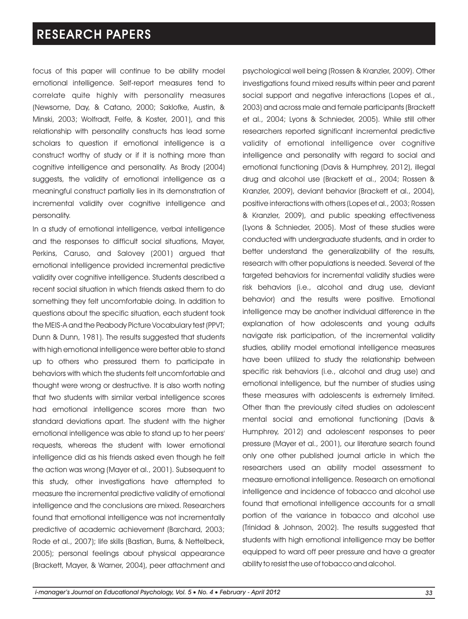focus of this paper will continue to be ability model emotional intelligence. Self-report measures tend to correlate quite highly with personality measures (Newsome, Day, & Catano, 2000; Saklofke, Austin, & Minski, 2003; Wolfradt, Felfe, & Koster, 2001), and this relationship with personality constructs has lead some scholars to question if emotional intelligence is a construct worthy of study or if it is nothing more than cognitive intelligence and personality. As Brody (2004) suggests, the validity of emotional intelligence as a meaningful construct partially lies in its demonstration of incremental validity over cognitive intelligence and personality.

In a study of emotional intelligence, verbal intelligence and the responses to difficult social situations, Mayer, Perkins, Caruso, and Salovey (2001) argued that emotional intelligence provided incremental predictive validity over cognitive intelligence. Students described a recent social situation in which friends asked them to do something they felt uncomfortable doing. In addition to questions about the specific situation, each student took the MEIS-A and the Peabody Picture Vocabulary test (PPVT; Dunn & Dunn, 1981). The results suggested that students with high emotional intelligence were better able to stand up to others who pressured them to participate in behaviors with which the students felt uncomfortable and thought were wrong or destructive. It is also worth noting that two students with similar verbal intelligence scores had emotional intelligence scores more than two standard deviations apart. The student with the higher emotional intelligence was able to stand up to her peers' requests, whereas the student with lower emotional intelligence did as his friends asked even though he felt the action was wrong (Mayer et al., 2001). Subsequent to this study, other investigations have attempted to measure the incremental predictive validity of emotional intelligence and the conclusions are mixed. Researchers found that emotional intelligence was not incrementally predictive of academic achievement (Barchard, 2003; Rode et al., 2007); life skills (Bastian, Burns, & Nettelbeck, 2005); personal feelings about physical appearance (Brackett, Mayer, & Warner, 2004), peer attachment and psychological well being (Rossen & Kranzler, 2009). Other investigations found mixed results within peer and parent social support and negative interactions (Lopes et al., 2003) and across male and female participants (Brackett et al., 2004; Lyons & Schnieder, 2005). While still other researchers reported significant incremental predictive validity of emotional intelligence over cognitive intelligence and personality with regard to social and emotional functioning (Davis & Humphrey, 2012), illegal drug and alcohol use (Brackett et al., 2004; Rossen & Kranzler, 2009), deviant behavior (Brackett et al., 2004), positive interactions with others (Lopes et al., 2003; Rossen & Kranzler, 2009), and public speaking effectiveness (Lyons & Schnieder, 2005). Most of these studies were conducted with undergraduate students, and in order to better understand the generalizability of the results, research with other populations is needed. Several of the targeted behaviors for incremental validity studies were risk behaviors (i.e., alcohol and drug use, deviant behavior) and the results were positive. Emotional intelligence may be another individual difference in the explanation of how adolescents and young adults navigate risk participation, of the incremental validity studies, ability model emotional intelligence measures have been utilized to study the relationship between specific risk behaviors (i.e., alcohol and drug use) and emotional intelligence, but the number of studies using these measures with adolescents is extremely limited. Other than the previously cited studies on adolescent mental social and emotional functioning (Davis & Humphrey, 2012) and adolescent responses to peer pressure (Mayer et al., 2001), our literature search found only one other published journal article in which the researchers used an ability model assessment to measure emotional intelligence. Research on emotional intelligence and incidence of tobacco and alcohol use found that emotional intelligence accounts for a small portion of the variance in tobacco and alcohol use (Trinidad & Johnson, 2002). The results suggested that students with high emotional intelligence may be better equipped to ward off peer pressure and have a greater ability to resist the use of tobacco and alcohol.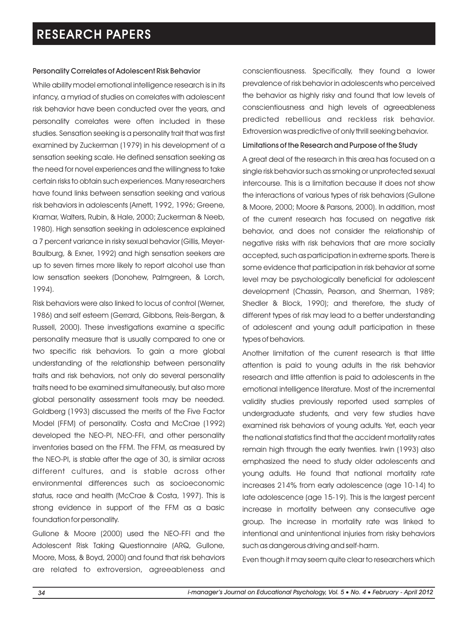#### Personality Correlates of Adolescent Risk Behavior

While ability model emotional intelligence research is in its infancy, a myriad of studies on correlates with adolescent risk behavior have been conducted over the years, and personality correlates were often included in these studies. Sensation seeking is a personality trait that was first examined by Zuckerman (1979) in his development of a sensation seeking scale. He defined sensation seeking as the need for novel experiences and the willingness to take certain risks to obtain such experiences. Many researchers have found links between sensation seeking and various risk behaviors in adolescents (Arnett, 1992, 1996; Greene, Kramar, Walters, Rubin, & Hale, 2000; Zuckerman & Neeb, 1980). High sensation seeking in adolescence explained a 7 percent variance in risky sexual behavior (Gillis, Meyer-Baulburg, & Exner, 1992) and high sensation seekers are up to seven times more likely to report alcohol use than low sensation seekers (Donohew, Palmgreen, & Lorch, 1994).

Risk behaviors were also linked to locus of control (Werner, 1986) and self esteem (Gerrard, Gibbons, Reis-Bergan, & Russell, 2000). These investigations examine a specific personality measure that is usually compared to one or two specific risk behaviors. To gain a more global understanding of the relationship between personality traits and risk behaviors, not only do several personality traits need to be examined simultaneously, but also more global personality assessment tools may be needed. Goldberg (1993) discussed the merits of the Five Factor Model (FFM) of personality. Costa and McCrae (1992) developed the NEO-PI, NEO-FFI, and other personality inventories based on the FFM. The FFM, as measured by the NEO-PI, is stable after the age of 30, is similar across different cultures, and is stable across other environmental differences such as socioeconomic status, race and health (McCrae & Costa, 1997). This is strong evidence in support of the FFM as a basic foundation for personality.

Gullone & Moore (2000) used the NEO-FFI and the Adolescent Risk Taking Questionnaire (ARQ, Gullone, Moore, Moss, & Boyd, 2000) and found that risk behaviors are related to extroversion, agreeableness and

conscientiousness. Specifically, they found a lower prevalence of risk behavior in adolescents who perceived the behavior as highly risky and found that low levels of conscientiousness and high levels of agreeableness predicted rebellious and reckless risk behavior. Extroversion was predictive of only thrill seeking behavior.

#### Limitations of the Research and Purpose of the Study

A great deal of the research in this area has focused on a single risk behavior such as smoking or unprotected sexual intercourse. This is a limitation because it does not show the interactions of various types of risk behaviors (Gullone & Moore, 2000; Moore & Parsons, 2000). In addition, most of the current research has focused on negative risk behavior, and does not consider the relationship of negative risks with risk behaviors that are more socially accepted, such as participation in extreme sports. There is some evidence that participation in risk behavior at some level may be psychologically beneficial for adolescent development (Chassin, Pearson, and Sherman, 1989; Shedler & Block, 1990); and therefore, the study of different types of risk may lead to a better understanding of adolescent and young adult participation in these types of behaviors.

Another limitation of the current research is that little attention is paid to young adults in the risk behavior research and little attention is paid to adolescents in the emotional intelligence literature. Most of the incremental validity studies previously reported used samples of undergraduate students, and very few studies have examined risk behaviors of young adults. Yet, each year the national statistics find that the accident mortality rates remain high through the early twenties. Irwin (1993) also emphasized the need to study older adolescents and young adults. He found that national mortality rate increases 214% from early adolescence (age 10-14) to late adolescence (age 15-19). This is the largest percent increase in mortality between any consecutive age group. The increase in mortality rate was linked to intentional and unintentional injuries from risky behaviors such as dangerous driving and self-harm.

Even though it may seem quite clear to researchers which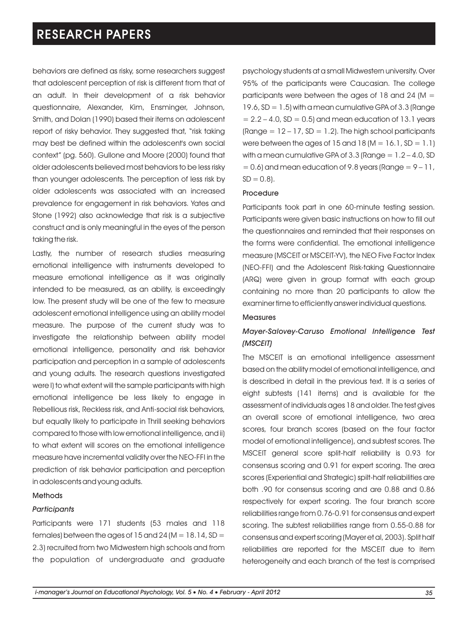behaviors are defined as risky, some researchers suggest that adolescent perception of risk is different from that of an adult. In their development of a risk behavior questionnaire, Alexander, Kim, Ensminger, Johnson, Smith, and Dolan (1990) based their items on adolescent report of risky behavior. They suggested that, "risk taking may best be defined within the adolescent's own social context" (pg. 560). Gullone and Moore (2000) found that older adolescents believed most behaviors to be less risky than younger adolescents. The perception of less risk by older adolescents was associated with an increased prevalence for engagement in risk behaviors. Yates and Stone (1992) also acknowledge that risk is a subjective construct and is only meaningful in the eyes of the person taking the risk.

Lastly, the number of research studies measuring emotional intelligence with instruments developed to measure emotional intelligence as it was originally intended to be measured, as an ability, is exceedingly low. The present study will be one of the few to measure adolescent emotional intelligence using an ability model measure. The purpose of the current study was to investigate the relationship between ability model emotional intelligence, personality and risk behavior participation and perception in a sample of adolescents and young adults. The research questions investigated were I) to what extent will the sample participants with high emotional intelligence be less likely to engage in Rebellious risk, Reckless risk, and Anti-social risk behaviors, but equally likely to participate in Thrill seeking behaviors compared to those with low emotional intelligence, and ii) to what extent will scores on the emotional intelligence measure have incremental validity over the NEO-FFI in the prediction of risk behavior participation and perception in adolescents and young adults.

#### Methods

#### *Participants*

Participants were 171 students (53 males and 118 females) between the ages of  $15$  and  $24$  (M =  $18.14$ , SD = 2.3) recruited from two Midwestern high schools and from the population of undergraduate and graduate psychology students at a small Midwestern university. Over 95% of the participants were Caucasian. The college participants were between the ages of 18 and 24 ( $M =$  $19.6$ , SD = 1.5) with a mean cumulative GPA of 3.3 (Range  $= 2.2 - 4.0$ , SD  $= 0.5$ ) and mean education of 13.1 years (Range  $= 12 - 17$ , SD  $= 1.2$ ). The high school participants were between the ages of  $15$  and  $18$  (M =  $16.1$ , SD =  $1.1$ ) with a mean cumulative GPA of  $3.3$  (Range =  $1.2 - 4.0$ , SD  $= 0.6$ ) and mean education of 9.8 years (Range  $= 9 - 11$ ,  $SD = 0.8$ ).

#### Procedure

Participants took part in one 60-minute testing session. Participants were given basic instructions on how to fill out the questionnaires and reminded that their responses on the forms were confidential. The emotional intelligence measure (MSCEIT or MSCEIT-YV), the NEO Five Factor Index (NEO-FFI) and the Adolescent Risk-taking Questionnaire (ARQ) were given in group format with each group containing no more than 20 participants to allow the examiner time to efficiently answer individual questions.

#### **Measures**

### *Mayer-Salovey-Caruso Emotional Intelligence Test (MSCEIT)*

The MSCEIT is an emotional intelligence assessment based on the ability model of emotional intelligence, and is described in detail in the previous text. It is a series of eight subtests (141 items) and is available for the assessment of individuals ages 18 and older. The test gives an overall score of emotional intelligence, two area scores, four branch scores (based on the four factor model of emotional intelligence), and subtest scores. The MSCEIT general score split-half reliability is 0.93 for consensus scoring and 0.91 for expert scoring. The area scores (Experiential and Strategic) spilt-half reliabilities are both .90 for consensus scoring and are 0.88 and 0.86 respectively for expert scoring. The four branch score reliabilities range from 0.76-0.91 for consensus and expert scoring. The subtest reliabilities range from 0.55-0.88 for consensus and expert scoring (Mayer et al, 2003). Split half reliabilities are reported for the MSCEIT due to item heterogeneity and each branch of the test is comprised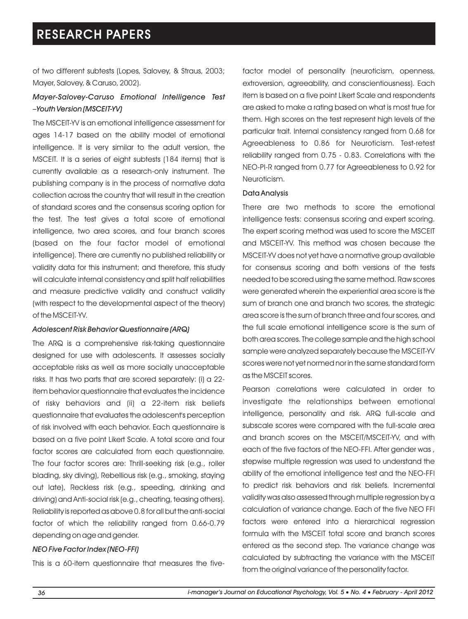of two different subtests (Lopes, Salovey, & Straus, 2003; Mayer, Salovey, & Caruso, 2002).

### *Mayer-Salovey-Caruso Emotional Intelligence Test –Youth Version (MSCEIT-YV)*

The MSCEIT-YV is an emotional intelligence assessment for ages 14-17 based on the ability model of emotional intelligence. It is very similar to the adult version, the MSCEIT. It is a series of eight subtests (184 items) that is currently available as a research-only instrument. The publishing company is in the process of normative data collection across the country that will result in the creation of standard scores and the consensus scoring option for the test. The test gives a total score of emotional intelligence, two area scores, and four branch scores (based on the four factor model of emotional intelligence). There are currently no published reliability or validity data for this instrument; and therefore, this study will calculate internal consistency and split half reliabilities and measure predictive validity and construct validity (with respect to the developmental aspect of the theory) of the MSCEIT-YV.

#### *Adolescent Risk Behavior Questionnaire (ARQ)*

The ARQ is a comprehensive risk-taking questionnaire designed for use with adolescents. It assesses socially acceptable risks as well as more socially unacceptable risks. It has two parts that are scored separately: (i) a 22 item behavior questionnaire that evaluates the incidence of risky behaviors and (ii) a 22-item risk beliefs questionnaire that evaluates the adolescent's perception of risk involved with each behavior. Each questionnaire is based on a five point Likert Scale. A total score and four factor scores are calculated from each questionnaire. The four factor scores are: Thrill-seeking risk (e.g., roller blading, sky diving), Rebellious risk (e.g., smoking, staying out late), Reckless risk (e.g., speeding, drinking and driving) and Anti-social risk (e.g., cheating, teasing others). Reliability is reported as above 0.8 for all but the anti-social factor of which the reliability ranged from 0.66-0.79 depending on age and gender.

#### *NEO Five Factor Index (NEO-FFI)*

This is a 60-item questionnaire that measures the five-

factor model of personality (neuroticism, openness, extroversion, agreeability, and conscientiousness). Each item is based on a five point Likert Scale and respondents are asked to make a rating based on what is most true for them. High scores on the test represent high levels of the particular trait. Internal consistency ranged from 0.68 for Agreeableness to 0.86 for Neuroticism. Test-retest reliability ranged from 0.75 - 0.83. Correlations with the NEO-PI-R ranged from 0.77 for Agreeableness to 0.92 for Neuroticism.

#### Data Analysis

There are two methods to score the emotional intelligence tests: consensus scoring and expert scoring. The expert scoring method was used to score the MSCEIT and MSCEIT-YV. This method was chosen because the MSCEIT-YV does not yet have a normative group available for consensus scoring and both versions of the tests needed to be scored using the same method. Raw scores were generated wherein the experiential area score is the sum of branch one and branch two scores, the strategic area score is the sum of branch three and four scores, and the full scale emotional intelligence score is the sum of both area scores. The college sample and the high school sample were analyzed separately because the MSCEIT-YV scores were not yet normed nor in the same standard form as the MSCEIT scores.

Pearson correlations were calculated in order to investigate the relationships between emotional intelligence, personality and risk. ARQ full-scale and subscale scores were compared with the full-scale area and branch scores on the MSCEIT/MSCEIT-YV, and with each of the five factors of the NEO-FFI. After gender was , stepwise multiple regression was used to understand the ability of the emotional intelligence test and the NEO-FFI to predict risk behaviors and risk beliefs. Incremental validity was also assessed through multiple regression by a calculation of variance change. Each of the five NEO FFI factors were entered into a hierarchical regression formula with the MSCEIT total score and branch scores entered as the second step. The variance change was calculated by subtracting the variance with the MSCEIT from the original variance of the personality factor.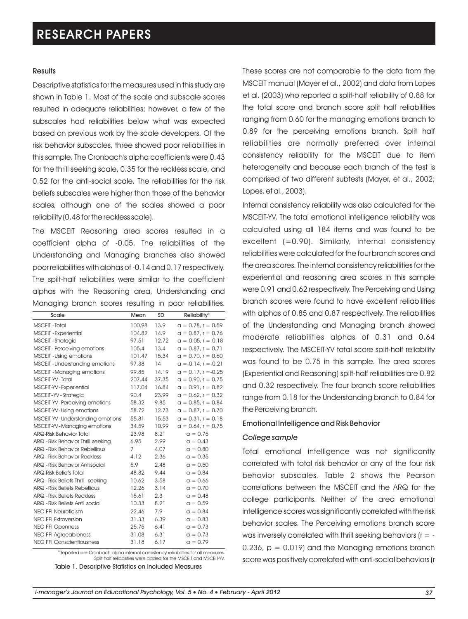#### **Results**

Descriptive statistics for the measures used in this study are shown in Table 1. Most of the scale and subscale scores resulted in adequate reliabilities; however, a few of the subscales had reliabilities below what was expected based on previous work by the scale developers. Of the risk behavior subscales, three showed poor reliabilities in this sample. The Cronbach's alpha coefficients were 0.43 for the thrill seeking scale, 0.35 for the reckless scale, and 0.52 for the anti-social scale. The reliabilities for the risk beliefs subscales were higher than those of the behavior scales, although one of the scales showed a poor reliability (0.48 for the reckless scale).

The MSCEIT Reasoning area scores resulted in a coefficient alpha of -0.05. The reliabilities of the Understanding and Managing branches also showed poor reliabilities with alphas of -0.14 and 0.17 respectively. The spilt-half reliabilities were similar to the coefficient alphas with the Reasoning area, Understanding and Managing branch scores resulting in poor reliabilities.

| Scale                               | Mean   | SD    | <b>Reliability<sup>®</sup></b> |
|-------------------------------------|--------|-------|--------------------------------|
| MSCEIT - Total                      | 100.98 | 13.9  | $a = 0.78$ , $r = 0.59$        |
| <b>MSCEIT - Experiential</b>        | 104.82 | 14.9  | $a = 0.87$ , $r = 0.76$        |
| <b>MSCEIT - Strategic</b>           | 97.51  | 12.72 | $a = -0.05$ , $r = -0.18$      |
| <b>MSCEIT</b> - Perceiving emotions | 105.4  | 13.4  | $a = 0.87$ , $r = 0.71$        |
| <b>MSCEIT</b> - Using emotions      | 101.47 | 15.34 | $a = 0.70$ , $r = 0.60$        |
| MSCEIT - Understanding emotions     | 97.38  | 14    | $\alpha = -0.14$ , $r = -0.21$ |
| <b>MSCEIT - Managing emotions</b>   | 99.85  | 14.19 | $q = 0.17$ , $r = -0.25$       |
| MSCEIT-YV-Total                     | 207.44 | 37.35 | $a = 0.90$ , $r = 0.75$        |
| MSCEIT-YV-Experiential              | 117.04 | 16.84 | $q = 0.91$ , $r = 0.82$        |
| MSCEIT-YV-Strategic                 | 90.4   | 23.99 | $a = 0.62$ , $r = 0.32$        |
| MSCEIT-YV-Perceiving emotions       | 58.32  | 9.85  | $a = 0.85$ , $r = 0.84$        |
| MSCEIT-YV - Using emotions          | 58.72  | 12.73 | $a = 0.87$ , $r = 0.70$        |
| MSCEIT-YV - Understanding emotions  | 55.81  | 15.53 | $a = 0.31$ , $r = 0.18$        |
| MSCEIT-YV-Managing emotions         | 34.59  | 10.99 | $a = 0.64$ , $r = 0.75$        |
| <b>ARQ-Risk Behavior Total</b>      | 23.98  | 8.21  | $a = 0.75$                     |
| ARQ - Risk Behavior Thrill seeking  | 6.95   | 2.99  | $a = 0.43$                     |
| ARQ - Risk Behavior Rebellious      | 7      | 4.07  | $a = 0.80$                     |
| <b>ARQ - Risk Behavior Reckless</b> | 4.12   | 2.36  | $a = 0.35$                     |
| ARQ - Risk Behavior Antisocial      | 5.9    | 2.48  | $a = 0.50$                     |
| <b>ARQ-Risk Beliefs Total</b>       | 48.82  | 9.44  | $a = 0.84$                     |
| ARQ - Risk Beliefs Thrill seeking   | 10.62  | 3.58  | $a = 0.66$                     |
| ARQ - Risk Beliefs Rebellious       | 12.26  | 3.14  | $a = 0.70$                     |
| ARQ - Risk Beliefs Reckless         | 15.61  | 2.3   | $a = 0.48$                     |
| ARQ - Risk Beliefs Anti social      | 10.33  | 8.21  | $a = 0.59$                     |
| <b>NEO FFI Neuroticism</b>          | 22.46  | 7.9   | $a = 0.84$                     |
| <b>NEO FFI Extroversion</b>         | 31.33  | 6.39  | $a = 0.83$                     |
| <b>NEO FFI Openness</b>             | 25.75  | 6.41  | $a = 0.73$                     |
| <b>NEO FFI Agreeableness</b>        | 31.08  | 6.31  | $a = 0.73$                     |
| <b>NEO FFI Conscientiousness</b>    | 31.18  | 6.17  | $a = 0.79$                     |

<sup>a</sup>Reported are Cronbach alpha internal consistency reliabilities for all measures. Split half reliabilities were added for the MSCEIT and MSCEIT-YV.

Table 1. Descriptive Statistics on Included Measures

These scores are not comparable to the data from the MSCEIT manual (Mayer et al., 2002) and data from Lopes et al. (2003) who reported a split-half reliability of 0.88 for the total score and branch score split half reliabilities ranging from 0.60 for the managing emotions branch to 0.89 for the perceiving emotions branch. Split half reliabilities are normally preferred over internal consistency reliability for the MSCEIT due to item heterogeneity and because each branch of the test is comprised of two different subtests (Mayer, et al., 2002; Lopes, et al., 2003).

Internal consistency reliability was also calculated for the MSCEIT-YV. The total emotional intelligence reliability was calculated using all 184 items and was found to be excellent (=0.90). Similarly, internal consistency reliabilities were calculated for the four branch scores and the area scores. The internal consistency reliabilities for the experiential and reasoning area scores in this sample were 0.91 and 0.62 respectively. The Perceiving and Using branch scores were found to have excellent reliabilities with alphas of 0.85 and 0.87 respectively. The reliabilities of the Understanding and Managing branch showed moderate reliabilities alphas of 0.31 and 0.64 respectively. The MSCEIT-YV total score split-half reliability was found to be 0.75 in this sample. The area scores (Experiential and Reasoning) spilt-half reliabilities are 0.82 and 0.32 respectively. The four branch score reliabilities range from 0.18 for the Understanding branch to 0.84 for the Perceiving branch.

#### Emotional Intelligence and Risk Behavior

#### *College sample*

Total emotional intelligence was not significantly correlated with total risk behavior or any of the four risk behavior subscales. Table 2 shows the Pearson correlations between the MSCEIT and the ARQ for the college participants. Neither of the area emotional intelligence scores was significantly correlated with the risk behavior scales. The Perceiving emotions branch score was inversely correlated with thrill seeking behaviors ( $r = -$ 0.236,  $p = 0.019$  and the Managing emotions branch score was positively correlated with anti-social behaviors (r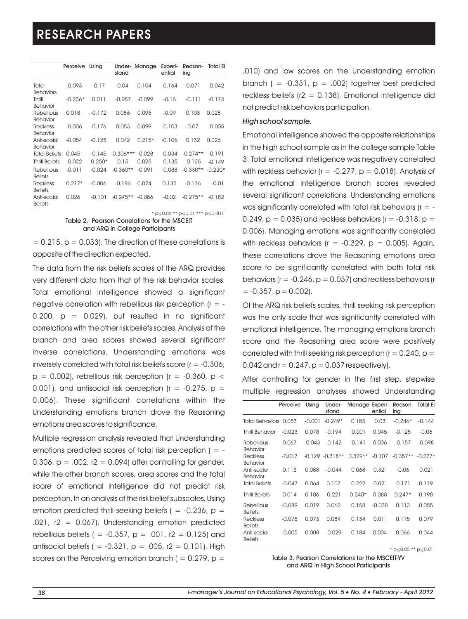|                                     | Perceive  | Using     | Under-<br>stand | Manage   | Experi-<br>ential | Reason-<br>ing | <b>Total El</b> |
|-------------------------------------|-----------|-----------|-----------------|----------|-------------------|----------------|-----------------|
| Total<br><b>Behaviors</b>           | $-0.093$  | $-0.17$   | 0.04            | 0.104    | $-0.164$          | 0.071          | $-0.042$        |
| Thrill<br>Behavior                  | $-0.236*$ | 0.011     | $-0.087$        | $-0.099$ | $-0.16$           | $-0.111$       | $-0.174$        |
| Rebellious<br>Behavior              | 0.018     | $-0.172$  | 0.086           | 0.095    | $-0.09$           | 0.103          | 0.028           |
| <b>Reckless</b><br>Behavior         | $-0.006$  | $-0.176$  | 0.053           | 0.099    | $-0.103$          | 0.07           | $-0.005$        |
| Anti-social<br>Behavior             | $-0.054$  | $-0.125$  | 0.042           | $0.215*$ | $-0.106$          | 0.132          | 0.026           |
| <b>Total Beliefs</b>                | 0.045     | $-0.145$  | $-0.306***$     | $-0.028$ | $-0.034$          | $-0.274**$     | $-0.191$        |
| <b>Thrill Beliefs</b>               | $-0.022$  | $-0.250*$ | 0.15            | 0.025    | $-0.135$          | $-0.126$       | $-0.149$        |
| <b>Rebellious</b><br><b>Beliefs</b> | $-0.011$  | $-0.024$  | $-0.360**$      | $-0.091$ | $-0.088$          | $-0.330**$     | $-0.220*$       |
| <b>Reckless</b><br><b>Beliefs</b>   | $0.217*$  | $-0.006$  | $-0.196$        | 0.074    | 0.135             | $-0.136$       | $-0.01$         |
| Anti-social<br><b>Beliefs</b>       | 0.026     | $-0.101$  | $-0.275**$      | $-0.086$ | $-0.02$           | $-0.275**$     | $-0.182$        |

 $* p \le 0.05 ** p \le 0.01 ** p \le 0.001$ 

Table 2. Pearson Correlations for the MSCEIT and ARQ in College Participants

 $= 0.215$ ,  $p = 0.033$ . The direction of these correlations is opposite of the direction expected.

The data from the risk beliefs scales of the ARQ provides very different data from that of the risk behavior scales. Total emotional intelligence showed a significant negative correlation with rebellious risk perception ( $r = 0.200$ ,  $p = 0.029$ , but resulted in no significant correlations with the other risk beliefs scales. Analysis of the branch and area scores showed several significant inverse correlations. Understanding emotions was inversely correlated with total risk beliefs score (r = -0.306,  $p = 0.002$ ), rebellious risk perception (r = -0.360,  $p <$ 0.001), and antisocial risk perception ( $r = -0.275$ ,  $p =$ 0.006). These significant correlations within the Understanding emotions branch drove the Reasoning emotions area scores to significance.

Multiple regression analysis revealed that Understanding emotions predicted scores of total risk perception ( $=$  -0.306,  $p = 0.002$ ,  $r2 = 0.094$  after controlling for gender, while the other branch scores, area scores and the total score of emotional intelligence did not predict risk perception. In an analysis of the risk belief subscales, Using emotion predicted thrill-seeking beliefs ( = -0.236,  $p =$  $.021$ , r2 = 0.067), Understanding emotion predicted rebellious beliefs ( =  $-0.357$ , p =  $.001$ , r2 = 0.125) and antisocial beliefs ( =  $-0.321$ , p =  $.005$ , r2 = 0.101). High scores on the Perceiving emotion branch (  $= 0.279$ , p  $=$ 

.010) and low scores on the Understanding emotion branch ( =  $-0.331$ , p =  $.002$ ) together best predicted reckless beliefs ( $r2 = 0.138$ ). Emotional intelligence did not predict risk behaviors participation.

#### *High school sample.*

Emotional intelligence showed the opposite relationships in the high school sample as in the college sample Table 3. Total emotional intelligence was negatively correlated with reckless behavior ( $r = -0.277$ ,  $p = 0.018$ ). Analysis of the emotional intelligence branch scores revealed several significant correlations. Understanding emotions was significantly correlated with total risk behaviors ( $r = -$ 0.249,  $p = 0.035$ ) and reckless behaviors ( $r = -0.318$ ,  $p =$ 0.006). Managing emotions was significantly correlated with reckless behaviors ( $r = -0.329$ ,  $p = 0.005$ ). Again, these correlations drove the Reasoning emotions area score to be significantly correlated with both total risk behaviors ( $r = -0.246$ ,  $p = 0.037$ ) and reckless behaviors (r  $= -0.357$ ,  $p = 0.002$ ).

Of the ARQ risk beliefs scales, thrill seeking risk perception was the only scale that was significantly correlated with emotional intelligence. The managing emotions branch score and the Reasoning area score were positively correlated with thrill seeking risk perception ( $r = 0.240$ ,  $p =$ 0.042 and  $r = 0.247$ ,  $p = 0.037$  respectively).

After controlling for gender in the first step, stepwise multiple regression analyses showed Understanding

|                                   | Perceive | Using    | Under-<br>stand    | Manage Experi- | ential   | Reason-<br>ing | <b>Total El</b> |
|-----------------------------------|----------|----------|--------------------|----------------|----------|----------------|-----------------|
| Total Behaviors 0.053             |          | $-0.001$ | $-0.249*$          | 0.185          | 0.03     | $-0.246*$      | $-0.144$        |
| <b>Thrill Behavior</b>            | $-0.023$ | 0.078    | $-0.194$           | 0.001          | 0.045    | $-0.125$       | $-0.06$         |
| <b>Rebellious</b><br>Behavior     | 0.067    | $-0.043$ | $-0.142$           | 0.141          | 0.006    | $-0.157$       | $-0.098$        |
| <b>Reckless</b><br>Behavior       | $-0.017$ |          | $-0.129 - 0.318**$ | $0.329**$      | $-0.107$ | $-0.357**$     | $-0.277*$       |
| Anti-social<br>Behavior           | 0.113    | 0.088    | $-0.044$           | 0.068          | 0.321    | $-0.06$        | 0.021           |
| <b>Total Beliefs</b>              | $-0.047$ | 0.064    | 0.107              | 0.222          | 0.021    | 0.171          | 0.119           |
| <b>Thrill Beliefs</b>             | 0.014    | 0.106    | 0.221              | $0.240*$       | 0.088    | $0.247*$       | 0.198           |
| Rebellious<br><b>Beliefs</b>      | $-0.089$ | 0.019    | 0.062              | 0.158          | $-0.038$ | 0.113          | 0.055           |
| <b>Reckless</b><br><b>Beliefs</b> | $-0.075$ | 0.073    | 0.084              | 0.134          | 0.011    | 0.115          | 0.079           |
| Anti-social<br><b>Beliefs</b>     | $-0.005$ | 0.008    | $-0.029$           | 0.184          | 0.004    | 0.066          | 0.044           |

 $*$  p $\leq$ 0.05  $**$  p $\leq$ 0.01

Table 3. Pearson Correlations for the MSCEIT-YV and ARQ in High School Participants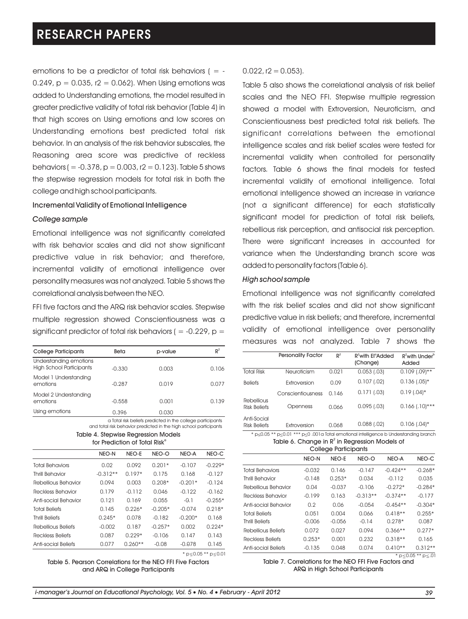emotions to be a predictor of total risk behaviors ( $=$  -0.249,  $p = 0.035$ ,  $r2 = 0.062$ ). When Using emotions was added to Understanding emotions, the model resulted in greater predictive validity of total risk behavior (Table 4) in that high scores on Using emotions and low scores on Understanding emotions best predicted total risk behavior. In an analysis of the risk behavior subscales, the Reasoning area score was predictive of reckless behaviors ( =  $-0.378$ , p = 0.003, r2 = 0.123). Table 5 shows the stepwise regression models for total risk in both the college and high school participants.

### Incremental Validity of Emotional Intelligence

#### *College sample*

Emotional intelligence was not significantly correlated with risk behavior scales and did not show significant predictive value in risk behavior; and therefore, incremental validity of emotional intelligence over personality measures was not analyzed. Table 5 shows the correlational analysis between the NEO.

FFI five factors and the ARQ risk behavior scales. Stepwise multiple regression showed Conscientiousness was a significant predictor of total risk behaviors ( =  $-0.229$ , p =

| Beta     | p-value | $R^2$ |
|----------|---------|-------|
| $-0.330$ | 0.003   | 0.106 |
| $-0.287$ | 0.019   | 0.077 |
| $-0.558$ | 0.001   | 0.139 |
| 0.396    | 0.030   |       |
|          |         |       |

a Total risk beliefs predicted in the college participants and total risk behavior predicted in the high school participants

Table 4. Stepwise Regression Models for Prediction of Total Risk<sup>o</sup>

|                        | NEO-N      | NEO-E     | NEO-O     | NEO-A     | NEO-C     |
|------------------------|------------|-----------|-----------|-----------|-----------|
| Total Behaviors        | 0.02       | 0.092     | $0.201*$  | $-0.107$  | $-0.229*$ |
| <b>Thrill Rehavior</b> | $-0.312**$ | $0.197*$  | 0.175     | 0.168     | $-0.127$  |
| Rebellious Behavior    | 0.094      | 0.003     | $0.208*$  | $-0.201*$ | $-0.124$  |
| Reckless Behavior      | 0.179      | $-0.112$  | 0.046     | $-0.122$  | $-0.162$  |
| Anti-social Behavior   | 0.121      | 0.169     | 0.055     | $-0.1$    | $-0.255*$ |
| <b>Total Beliefs</b>   | 0.145      | $0.226*$  | $-0.205*$ | $-0.074$  | $0.218*$  |
| <b>Thrill Reliefs</b>  | $0.245*$   | 0.078     | $-0.182$  | $-0.200*$ | 0.168     |
| Rebellious Beliefs     | $-0.002$   | 0.187     | $-0.257*$ | 0.002     | $0.224*$  |
| Reckless Beliefs       | 0.087      | $0.229*$  | $-0.106$  | 0.147     | 0.143     |
| Anti-social Beliefs    | 0.077      | $0.260**$ | $-0.08$   | $-0.078$  | 0.145     |

Table 5. Pearson Correlations for the NEO FFI Five Factors and ARQ in College Participants

#### $0.022$ , r2 = 0.053).

Table 5 also shows the correlational analysis of risk belief scales and the NEO FFI. Stepwise multiple rearession showed a model with Extroversion, Neuroticism, and Conscientiousness best predicted total risk beliefs. The significant correlations between the emotional intelligence scales and risk belief scales were tested for incremental validity when controlled for personality factors. Table 6 shows the final models for tested incremental validity of emotional intelligence. Total emotional intelligence showed an increase in variance (not a significant difference) for each statistically significant model for prediction of total risk beliefs, rebellious risk perception, and antisocial risk perception. There were significant increases in accounted for variance when the Understanding branch score was added to personality factors (Table 6).

#### *High school sample*

Emotional intelligence was not significantly correlated with the risk belief scales and did not show sianificant predictive value in risk beliefs; and therefore, incremental validity of emotional intelligence over personality measures was not analyzed. Table 7 shows the

|                                          | <b>Personality Factor</b> | $R^2$ | $R^2$ with El $^{\circ}$ Added<br>(Change) | $R^2$ with Under $P^2$<br>Added |
|------------------------------------------|---------------------------|-------|--------------------------------------------|---------------------------------|
| <b>Total Risk</b>                        | Neuroticism               | 0.021 | 0.053(0.03)                                | $0.109$ $(.09)**$               |
| <b>Beliefs</b>                           | Extroversion              | 0.09  | 0.107(0.02)                                | $0.136$ $(.05)*$                |
|                                          | Conscientiousness         | 0.146 | 0.171(03)                                  | $0.19$ (.04)*                   |
| <b>Rebellious</b><br><b>Risk Beliefs</b> | Openness                  | 0.066 | $0.095$ $(.03)$                            | $0.166$ $(.10)$ ***             |
| Anti-Social<br><b>Risk Beliefs</b>       | Extroversion              | 0.068 | $0.088$ $(.02)$                            | $0.106$ $(.04)*$                |

| * $p \le 0.05$ ** $p \le 0.01$ *** $p \le 0.001$ a Total emotional intelligence b Understanding branch |
|--------------------------------------------------------------------------------------------------------|
| Table 6. Change in $R^2$ in Regression Models of                                                       |
| College Participants                                                                                   |

| College Participants     |          |          |            |            |           |  |
|--------------------------|----------|----------|------------|------------|-----------|--|
|                          | NEO-N    | NEO-E    | NEO-O      | NEO-A      | NEO-C     |  |
| <b>Total Behaviors</b>   | $-0.032$ | 0.146    | $-0.147$   | $-0.424**$ | $-0.268*$ |  |
| <b>Thrill Behavior</b>   | $-0.148$ | $0.253*$ | 0.034      | $-0.112$   | 0.035     |  |
| Rebellious Behavior      | 0.04     | $-0.037$ | $-0.106$   | $-0.272*$  | $-0.284*$ |  |
| <b>Reckless Behavior</b> | $-0.199$ | 0.163    | $-0.313**$ | $-0.374**$ | $-0.177$  |  |
| Anti-social Behavior     | 0.2      | 0.06     | $-0.054$   | $-0.454**$ | $-0.304*$ |  |
| <b>Total Beliefs</b>     | 0.051    | 0.004    | 0.066      | $0.418**$  | $0.255*$  |  |
| <b>Thrill Beliefs</b>    | $-0.006$ | $-0.056$ | $-0.14$    | $0.278*$   | 0.087     |  |
| Rebellious Beliefs       | 0.072    | 0.027    | 0.094      | $0.366**$  | $0.277*$  |  |
| Reckless Beliefs         | $0.253*$ | 0.001    | 0.232      | $0.318**$  | 0.165     |  |
| Anti-social Beliefs      | $-0.135$ | 0.048    | 0.074      | $0.410**$  | $0.312**$ |  |

### $p \le 0.05 \cdot k \cdot p \le 0.01$ <br>
Table 7. Correlations for the NEO FFI Five Factors and  $p \le 0.05 \cdot k \cdot p \le 01$ ARQ in High School Participants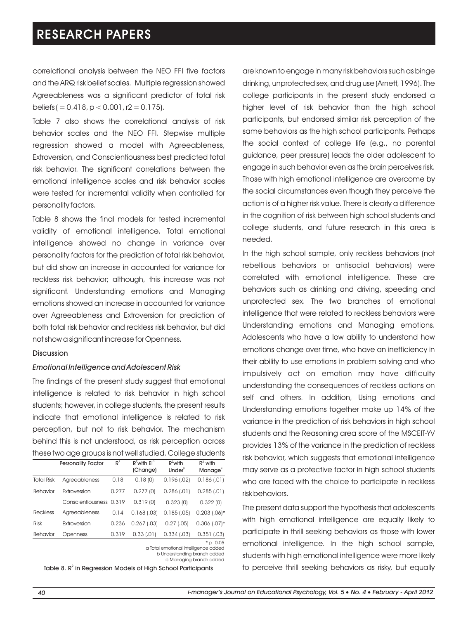correlational analysis between the NEO FFI five factors and the ARQ risk belief scales. Multiple regression showed Agreeableness was a significant predictor of total risk beliefs ( $= 0.418$ ,  $p < 0.001$ , r2  $= 0.175$ ).

Table 7 also shows the correlational analysis of risk behavior scales and the NEO FFI. Stepwise multiple regression showed a model with Agreeableness, Extroversion, and Conscientiousness best predicted total risk behavior. The significant correlations between the emotional intelligence scales and risk behavior scales were tested for incremental validity when controlled for personality factors.

Table 8 shows the final models for tested incremental validity of emotional intelligence. Total emotional intelligence showed no change in variance over personality factors for the prediction of total risk behavior, but did show an increase in accounted for variance for reckless risk behavior; although, this increase was not significant. Understanding emotions and Managing emotions showed an increase in accounted for variance over Agreeableness and Extroversion for prediction of both total risk behavior and reckless risk behavior, but did not show a significant increase for Openness.

#### Discussion

#### *Emotional Intelligence and Adolescent Risk*

The findings of the present study suggest that emotional intelligence is related to risk behavior in high school students; however, in college students, the present results indicate that emotional intelligence is related to risk perception, but not to risk behavior. The mechanism behind this is not understood, as risk perception across these two age groups is not well studied. College students

|                   | <b>Personality Factor</b> | $R^2$ | $R^2$ with Ei <sup>o</sup><br>(Change) | $R^2$ with<br>Under <sup>b</sup> | $R^2$ with<br>Manage <sup>c</sup> |
|-------------------|---------------------------|-------|----------------------------------------|----------------------------------|-----------------------------------|
| <b>Total Risk</b> | Agreeableness             | 0.18  | 0.18(0)                                | 0.196(0.02)                      | 0.186(0.01)                       |
| Behavior          | Extroversion              | 0.277 | 0.277(0)                               | $0.286$ (.01)                    | 0.285(0.01)                       |
|                   | Conscientiousness 0.319   |       | 0.319(0)                               | 0.323(0)                         | 0.322(0)                          |
| <b>Reckless</b>   | Agreeableness             | 0.14  | 0.168(0.03)                            | $0.185$ (.05)                    | $0.203$ $(.06)*$                  |
| <b>Risk</b>       | Extroversion              | 0.236 | $0.267$ $(.03)$                        | 0.27(0.05)                       | $0.306$ $(.07)*$                  |
| Behavior          | Openness                  | 0.319 | 0.33(0.01)                             | 0.334(0.03)                      | 0.351(0.03)                       |
|                   |                           |       |                                        |                                  | $*$ $\sim$ $\cap$ $\cap$ $\in$    |

\* p 0.05 a Total emotional intelligence added

b Understanding branch added c Managing branch added

Table 8.  $R^2$  in Regression Models of High School Participants

are known to engage in many risk behaviors such as binge drinking, unprotected sex, and drug use (Arnett, 1996). The college participants in the present study endorsed a higher level of risk behavior than the high school participants, but endorsed similar risk perception of the same behaviors as the high school participants. Perhaps the social context of college life (e.g., no parental guidance, peer pressure) leads the older adolescent to engage in such behavior even as the brain perceives risk. Those with high emotional intelligence are overcome by the social circumstances even though they perceive the action is of a higher risk value. There is clearly a difference in the cognition of risk between high school students and college students, and future research in this area is needed.

In the high school sample, only reckless behaviors (not rebellious behaviors or antisocial behaviors) were correlated with emotional intelligence. These are behaviors such as drinking and driving, speeding and unprotected sex. The two branches of emotional intelligence that were related to reckless behaviors were Understanding emotions and Managing emotions. Adolescents who have a low ability to understand how emotions change over time, who have an inefficiency in their ability to use emotions in problem solving and who impulsively act on emotion may have difficulty understanding the consequences of reckless actions on self and others. In addition, Using emotions and Understanding emotions together make up 14% of the variance in the prediction of risk behaviors in high school students and the Reasoning area score of the MSCEIT-YV provides 13% of the variance in the prediction of reckless risk behavior, which suggests that emotional intelligence may serve as a protective factor in high school students who are faced with the choice to participate in reckless risk behaviors.

The present data support the hypothesis that adolescents with high emotional intelligence are equally likely to participate in thrill seeking behaviors as those with lower emotional intelligence. In the high school sample, students with high emotional intelligence were more likely to perceive thrill seeking behaviors as risky, but equally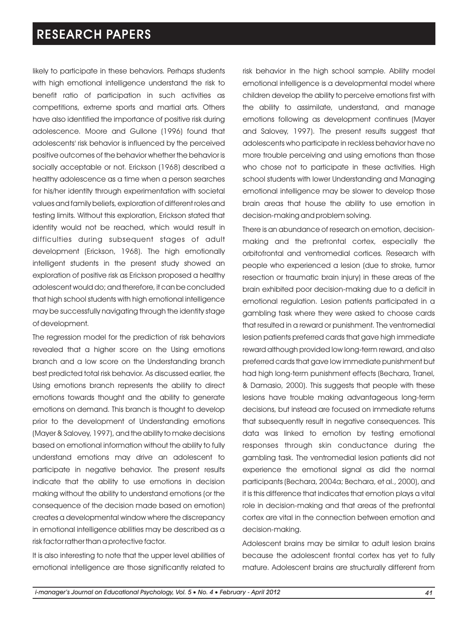likely to participate in these behaviors. Perhaps students with high emotional intelligence understand the risk to benefit ratio of participation in such activities as competitions, extreme sports and martial arts. Others have also identified the importance of positive risk during adolescence. Moore and Gullone (1996) found that adolescents' risk behavior is influenced by the perceived positive outcomes of the behavior whether the behavior is socially acceptable or not. Erickson (1968) described a healthy adolescence as a time when a person searches for his/her identity through experimentation with societal values and family beliefs, exploration of different roles and testing limits. Without this exploration, Erickson stated that identity would not be reached, which would result in difficulties during subsequent stages of adult development (Erickson, 1968). The high emotionally intelligent students in the present study showed an exploration of positive risk as Erickson proposed a healthy adolescent would do; and therefore, it can be concluded that high school students with high emotional intelligence may be successfully navigating through the identity stage of development.

The regression model for the prediction of risk behaviors revealed that a higher score on the Using emotions branch and a low score on the Understanding branch best predicted total risk behavior. As discussed earlier, the Using emotions branch represents the ability to direct emotions towards thought and the ability to generate emotions on demand. This branch is thought to develop prior to the development of Understanding emotions (Mayer & Salovey, 1997), and the ability to make decisions based on emotional information without the ability to fully understand emotions may drive an adolescent to participate in negative behavior. The present results indicate that the ability to use emotions in decision making without the ability to understand emotions (or the consequence of the decision made based on emotion) creates a developmental window where the discrepancy in emotional intelligence abilities may be described as a risk factor rather than a protective factor.

It is also interesting to note that the upper level abilities of emotional intelligence are those significantly related to risk behavior in the high school sample. Ability model emotional intelligence is a developmental model where children develop the ability to perceive emotions first with the ability to assimilate, understand, and manage emotions following as development continues (Mayer and Salovey, 1997). The present results suggest that adolescents who participate in reckless behavior have no more trouble perceiving and using emotions than those who chose not to participate in these activities. High school students with lower Understanding and Managing emotional intelligence may be slower to develop those brain areas that house the ability to use emotion in decision-making and problem solving.

There is an abundance of research on emotion, decisionmaking and the prefrontal cortex, especially the orbitofrontal and ventromedial cortices. Research with people who experienced a lesion (due to stroke, tumor resection or traumatic brain injury) in these areas of the brain exhibited poor decision-making due to a deficit in emotional regulation. Lesion patients participated in a gambling task where they were asked to choose cards that resulted in a reward or punishment. The ventromedial lesion patients preferred cards that gave high immediate reward although provided low long-term reward, and also preferred cards that gave low immediate punishment but had high long-term punishment effects (Bechara, Tranel, & Damasio, 2000). This suggests that people with these lesions have trouble making advantageous long-term decisions, but instead are focused on immediate returns that subsequently result in negative consequences. This data was linked to emotion by testing emotional responses through skin conductance during the gambling task. The ventromedial lesion patients did not experience the emotional signal as did the normal participants (Bechara, 2004a; Bechara, et al., 2000), and it is this difference that indicates that emotion plays a vital role in decision-making and that areas of the prefrontal cortex are vital in the connection between emotion and decision-making.

Adolescent brains may be similar to adult lesion brains because the adolescent frontal cortex has yet to fully mature. Adolescent brains are structurally different from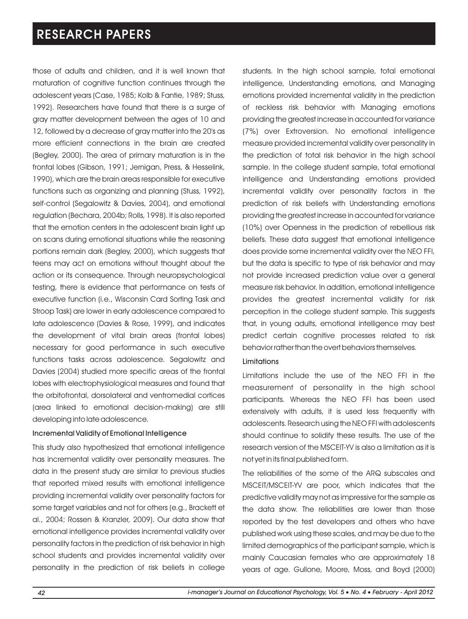those of adults and children, and it is well known that maturation of cognitive function continues through the adolescent years (Case, 1985; Kolb & Fantie, 1989; Stuss, 1992). Researchers have found that there is a surge of gray matter development between the ages of 10 and 12, followed by a decrease of gray matter into the 20's as more efficient connections in the brain are created (Begley, 2000). The area of primary maturation is in the frontal lobes (Gibson, 1991; Jernigan, Press, & Hesselink, 1990), which are the brain areas responsible for executive functions such as organizing and planning (Stuss, 1992), self-control (Segalowitz & Davies, 2004), and emotional regulation (Bechara, 2004b; Rolls, 1998). It is also reported that the emotion centers in the adolescent brain light up on scans during emotional situations while the reasoning portions remain dark (Begley, 2000), which suggests that teens may act on emotions without thought about the action or its consequence. Through neuropsychological testing, there is evidence that performance on tests of executive function (i.e., Wisconsin Card Sorting Task and Stroop Task) are lower in early adolescence compared to late adolescence (Davies & Rose, 1999), and indicates the development of vital brain areas (frontal lobes) necessary for good performance in such executive functions tasks across adolescence. Segalowitz and Davies (2004) studied more specific areas of the frontal lobes with electrophysiological measures and found that the orbitofrontal, dorsolateral and ventromedial cortices (area linked to emotional decision-making) are still developing into late adolescence.

#### Incremental Validity of Emotional Intelligence

This study also hypothesized that emotional intelligence has incremental validity over personality measures. The data in the present study are similar to previous studies that reported mixed results with emotional intelligence providing incremental validity over personality factors for some target variables and not for others (e.g., Brackett et al., 2004; Rossen & Kranzler, 2009). Our data show that emotional intelligence provides incremental validity over personality factors in the prediction of risk behavior in high school students and provides incremental validity over personality in the prediction of risk beliefs in college students. In the high school sample, total emotional intelligence, Understanding emotions, and Managing emotions provided incremental validity in the prediction of reckless risk behavior with Managing emotions providing the greatest increase in accounted for variance (7%) over Extroversion. No emotional intelligence measure provided incremental validity over personality in the prediction of total risk behavior in the high school sample. In the college student sample, total emotional intelligence and Understanding emotions provided incremental validity over personality factors in the prediction of risk beliefs with Understanding emotions providing the greatest increase in accounted for variance (10%) over Openness in the prediction of rebellious risk beliefs. These data suggest that emotional intelligence does provide some incremental validity over the NEO FFI, but the data is specific to type of risk behavior and may not provide increased prediction value over a general measure risk behavior. In addition, emotional intelligence provides the greatest incremental validity for risk perception in the college student sample. This suggests that, in young adults, emotional intelligence may best predict certain cognitive processes related to risk behavior rather than the overt behaviors themselves.

#### Limitations

Limitations include the use of the NEO FFI in the measurement of personality in the high school participants. Whereas the NEO FFI has been used extensively with adults, it is used less frequently with adolescents. Research using the NEO FFI with adolescents should continue to solidify these results. The use of the research version of the MSCEIT-YV is also a limitation as it is not yet in its final published form.

The reliabilities of the some of the ARQ subscales and MSCEIT/MSCEIT-YV are poor, which indicates that the predictive validity may not as impressive for the sample as the data show. The reliabilities are lower than those reported by the test developers and others who have published work using these scales, and may be due to the limited demographics of the participant sample, which is mainly Caucasian females who are approximately 18 years of age. Gullone, Moore, Moss, and Boyd (2000)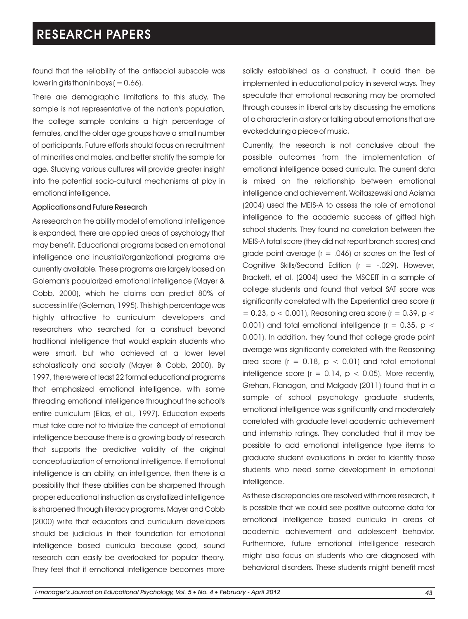found that the reliability of the antisocial subscale was lower in girls than in boys (  $= 0.66$ ).

There are demographic limitations to this study. The sample is not representative of the nation's population, the college sample contains a high percentage of females, and the older age groups have a small number of participants. Future efforts should focus on recruitment of minorities and males, and better stratify the sample for age. Studying various cultures will provide greater insight into the potential socio-cultural mechanisms at play in emotional intelligence.

#### Applications and Future Research

As research on the ability model of emotional intelligence is expanded, there are applied areas of psychology that may benefit. Educational programs based on emotional intelligence and industrial/organizational programs are currently available. These programs are largely based on Goleman's popularized emotional intelligence (Mayer & Cobb, 2000), which he claims can predict 80% of success in life (Goleman, 1995). This high percentage was highly attractive to curriculum developers and researchers who searched for a construct beyond traditional intelligence that would explain students who were smart, but who achieved at a lower level scholastically and socially (Mayer & Cobb, 2000). By 1997, there were at least 22 formal educational programs that emphasized emotional intelligence, with some threading emotional intelligence throughout the school's entire curriculum (Elias, et al., 1997). Education experts must take care not to trivialize the concept of emotional intelligence because there is a growing body of research that supports the predictive validity of the original conceptualization of emotional intelligence. If emotional intelligence is an ability, an intelligence, then there is a possibility that these abilities can be sharpened through proper educational instruction as crystallized intelligence is sharpened through literacy programs. Mayer and Cobb (2000) write that educators and curriculum developers should be judicious in their foundation for emotional intelligence based curricula because good, sound research can easily be overlooked for popular theory. They feel that if emotional intelligence becomes more

solidly established as a construct, it could then be implemented in educational policy in several ways. They speculate that emotional reasoning may be promoted through courses in liberal arts by discussing the emotions of a character in a story or talking about emotions that are evoked during a piece of music.

Currently, the research is not conclusive about the possible outcomes from the implementation of emotional intelligence based curricula. The current data is mixed on the relationship between emotional intelligence and achievement. Woitaszewski and Aaisma (2004) used the MEIS-A to assess the role of emotional intelligence to the academic success of gifted high school students. They found no correlation between the MEIS-A total score (they did not report branch scores) and grade point average ( $r = .046$ ) or scores on the Test of Cognitive Skills/Second Edition ( $r = -0.029$ ). However, Brackett, et al. (2004) used the MSCEIT in a sample of college students and found that verbal SAT score was significantly correlated with the Experiential area score (r  $= 0.23$ , p  $< 0.001$ ), Reasoning area score (r  $= 0.39$ , p  $<$ 0.001) and total emotional intelligence ( $r = 0.35$ ,  $p <$ 0.001). In addition, they found that college grade point average was significantly correlated with the Reasoning area score ( $r = 0.18$ ,  $p < 0.01$ ) and total emotional intelligence score ( $r = 0.14$ ,  $p < 0.05$ ). More recently, Grehan, Flanagan, and Malgady (2011) found that in a sample of school psychology graduate students, emotional intelligence was significantly and moderately correlated with graduate level academic achievement and internship ratings. They concluded that it may be possible to add emotional intelligence type items to graduate student evaluations in order to identify those students who need some development in emotional intelligence.

As these discrepancies are resolved with more research, it is possible that we could see positive outcome data for emotional intelligence based curricula in areas of academic achievement and adolescent behavior. Furthermore, future emotional intelligence research might also focus on students who are diagnosed with behavioral disorders. These students might benefit most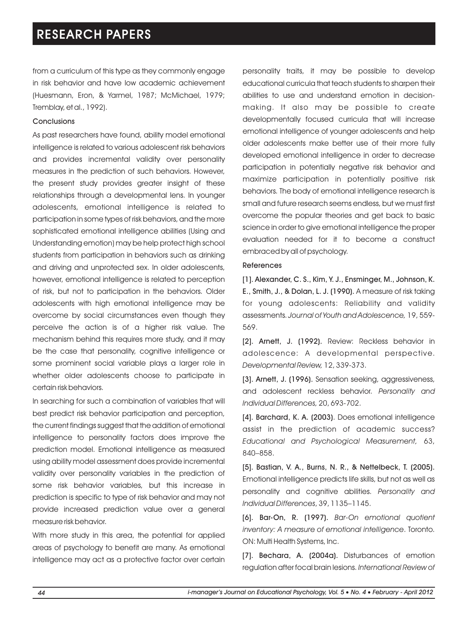from a curriculum of this type as they commonly engage in risk behavior and have low academic achievement (Huesmann, Eron, & Yarmel, 1987; McMichael, 1979; Tremblay, et al., 1992).

#### **Conclusions**

As past researchers have found, ability model emotional intelligence is related to various adolescent risk behaviors and provides incremental validity over personality measures in the prediction of such behaviors. However, the present study provides greater insight of these relationships through a developmental lens. In younger adolescents, emotional intelligence is related to participation in some types of risk behaviors, and the more sophisticated emotional intelligence abilities (Using and Understanding emotion) may be help protect high school students from participation in behaviors such as drinking and driving and unprotected sex. In older adolescents, however, emotional intelligence is related to perception of risk, but not to participation in the behaviors. Older adolescents with high emotional intelligence may be overcome by social circumstances even though they perceive the action is of a higher risk value. The mechanism behind this requires more study, and it may be the case that personality, cognitive intelligence or some prominent social variable plays a larger role in whether older adolescents choose to participate in certain risk behaviors.

In searching for such a combination of variables that will best predict risk behavior participation and perception, the current findings suggest that the addition of emotional intelligence to personality factors does improve the prediction model. Emotional intelligence as measured using ability model assessment does provide incremental validity over personality variables in the prediction of some risk behavior variables, but this increase in prediction is specific to type of risk behavior and may not provide increased prediction value over a general measure risk behavior.

With more study in this area, the potential for applied areas of psychology to benefit are many. As emotional intelligence may act as a protective factor over certain personality traits, it may be possible to develop educational curricula that teach students to sharpen their abilities to use and understand emotion in decisionmaking. It also may be possible to create developmentally focused curricula that will increase emotional intelligence of younger adolescents and help older adolescents make better use of their more fully developed emotional intelligence in order to decrease participation in potentially negative risk behavior and maximize participation in potentially positive risk behaviors. The body of emotional intelligence research is small and future research seems endless, but we must first overcome the popular theories and get back to basic science in order to give emotional intelligence the proper evaluation needed for it to become a construct embraced by all of psychology.

#### References

[1]. Alexander, C. S., Kim, Y. J., Ensminger, M., Johnson, K. E., Smith, J., & Dolan, L. J. (1990). A measure of risk taking for young adolescents: Reliability and validity assessments. *Journal of Youth and Adolescence,* 19, 559- 569.

[2]. Arnett, J. (1992). Review: Reckless behavior in adolescence: A developmental perspective. *Developmental Review,* 12, 339-373.

[3]. Arnett, J. (1996). Sensation seeking, aggressiveness, and adolescent reckless behavior. *Personality and Individual Differences,* 20, 693-702.

[4]. Barchard, K. A. (2003). Does emotional intelligence assist in the prediction of academic success? *Educational and Psychological Measurement,* 63, 840–858.

[5]. Bastian, V. A., Burns, N. R., & Nettelbeck, T. (2005). Emotional intelligence predicts life skills, but not as well as personality and cognitive abilities. *Personality and Individual Differences*, 39, 1135–1145.

[6]. Bar-On, R. (1997). *Bar-On emotional quotient inventory: A measure of emotional intelligence*. Toronto. ON: Multi Health Systems, Inc.

[7]. Bechara, A. (2004a). Disturbances of emotion regulation after focal brain lesions. *International Review of*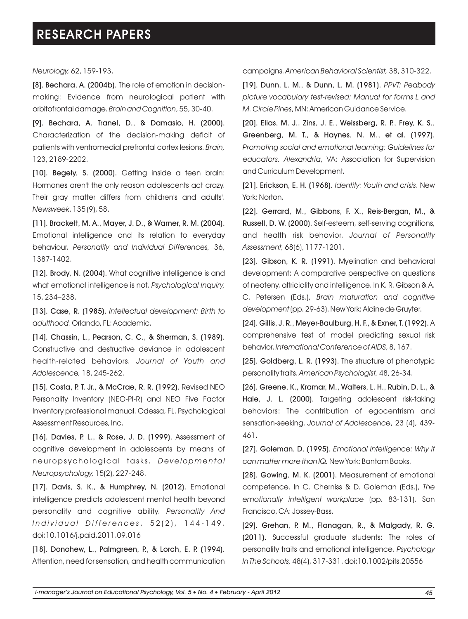*Neurology,* 62, 159-193.

[8]. Bechara, A. (2004b). The role of emotion in decisionmaking: Evidence from neurological patient with orbitofrontal damage. *Brain and Cognition*, 55, 30-40.

[9]. Bechara, A. Tranel, D., & Damasio, H. (2000). Characterization of the decision-making deficit of patients with ventromedial prefrontal cortex lesions. *Brain,*  123, 2189-2202.

[10]. Begely, S. (2000). Getting inside a teen brain: Hormones aren't the only reason adolescents act crazy. Their gray matter differs from children's and adults'. *Newsweek*, 135 (9), 58.

[11]. Brackett, M. A., Mayer, J. D., & Warner, R. M. (2004). Emotional intelligence and its relation to everyday behaviour. *Personality and Individual Differences,* 36, 1387-1402.

[12]. Brody, N. (2004). What cognitive intelligence is and what emotional intelligence is not. *Psychological Inquiry,* 15, 234–238.

[13]. Case, R. (1985). *Intellectual development: Birth to adulthood.* Orlando, FL: Academic.

[14]. Chassin, L., Pearson, C. C., & Sherman, S. (1989). Constructive and destructive deviance in adolescent health-related behaviors. *Journal of Youth and Adolescence,* 18, 245-262.

[15]. Costa, P. T. Jr., & McCrae, R. R. (1992). Revised NEO Personality Inventory (NEO-PI-R) and NEO Five Factor Inventory professional manual. Odessa, FL. Psychological Assessment Resources, Inc.

[16]. Davies, P. L., & Rose, J. D. (1999). Assessment of cognitive development in adolescents by means of n e u r o p s y c h o l o g i c a l t a s k s. *De v e l o p m e n t a l Neuropsychology,* 15(2), 227-248.

[17]. Davis, S. K., & Humphrey, N. (2012). Emotional intelligence predicts adolescent mental health beyond personality and cognitive ability. *Personality And I n d i v i d u a l D i f f e r e n c e s* , 5 2 ( 2 ) , 1 4 4 - 1 4 9 . doi:10.1016/j.paid.2011.09.016

[18]. Donohew, L., Palmgreen, P., & Lorch, E. P. (1994). Attention, need for sensation, and health communication campaigns. *American Behavioral Scientist,* 38, 310-322.

[19]. Dunn, L. M., & Dunn, L. M. (1981). *PPVT: Peabody picture vocabulary test-revised: Manual for forms L and M. Circle Pines*, MN: American Guidance Service.

[20]. Elias, M. J., Zins, J. E., Weissberg, R. P., Frey, K. S., Greenberg, M. T., & Haynes, N. M., et al. (1997). *Promoting social and emotional learning: Guidelines for educators. Alexandria*, VA: Association for Supervision and Curriculum Development.

[21]. Erickson, E. H. (1968). *Identity: Youth and crisis*. New York: Norton.

[22]. Gerrard, M., Gibbons, F. X., Reis-Bergan, M., & Russell, D. W. (2000). Self-esteem, self-serving cognitions, and health risk behavior. *Journal of Personality Assessment,* 68(6), 1177-1201.

[23]. Gibson, K. R. (1991). Myelination and behavioral development: A comparative perspective on questions of neoteny, altriciality and intelligence. In K. R. Gibson & A. C. Petersen (Eds.), *Brain maturation and cognitive development* (pp. 29-63). New York: Aldine de Gruyter.

[24]. Gillis, J. R., Meyer-Baulburg, H. F., & Exner, T. (1992). A comprehensive test of model predicting sexual risk behavior. *International Conference of AIDS*, 8, 167.

[25]. Goldberg, L. R. (1993). The structure of phenotypic personality traits. *American Psychologist,* 48, 26-34.

[26]. Greene, K., Kramar, M., Walters, L. H., Rubin, D. L., & Hale, J. L. (2000). Targeting adolescent risk-taking behaviors: The contribution of egocentrism and sensation-seeking. *Journal of Adolescence*, 23 (4), 439- 461.

[27]. Goleman, D. (1995). *Emotional Intelligence: Why it can matter more than IQ.* New York: Bantam Books.

[28]. Gowing, M. K. (2001). Measurement of emotional competence. In C. Cherniss & D. Goleman (Eds.), *The emotionally intelligent workplace* (pp. 83-131). San Francisco, CA: Jossey-Bass.

[29]. Grehan, P. M., Flanagan, R., & Malgady, R. G. (2011). Successful graduate students: The roles of personality traits and emotional intelligence. *Psychology In The Schools,* 48(4), 317-331. doi:10.1002/pits.20556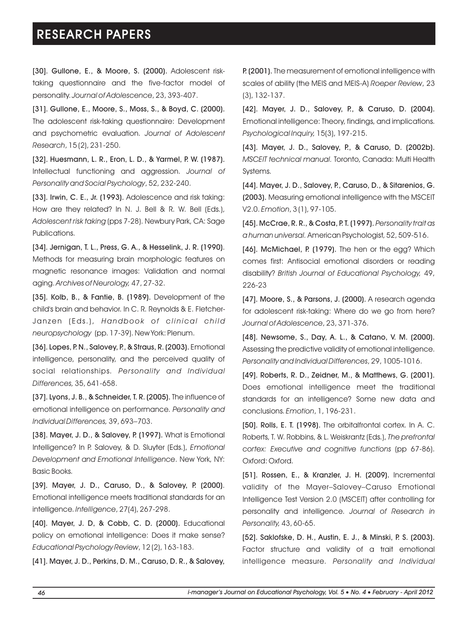[30]. Gullone, E., & Moore, S. (2000). Adolescent risktaking questionnaire and the five-factor model of personality. *Journal of Adolescence*, 23, 393-407.

[31]. Gullone, E., Moore, S., Moss, S., & Boyd, C. (2000). The adolescent risk-taking questionnaire: Development and psychometric evaluation. *Journal of Adolescent Research*, 15 (2), 231-250.

[32]. Huesmann, L. R., Eron, L. D., & Yarmel, P. W. (1987). Intellectual functioning and aggression. *Journal of Personality and Social Psychology*, 52, 232-240.

[33]. Irwin, C. E., Jr. (1993). Adolescence and risk taking: How are they related? In N. J. Bell & R. W. Bell (Eds.), *Adolescent risk taking* (pps 7-28). Newbury Park, CA: Sage Publications.

[34]. Jernigan, T. L., Press, G. A., & Hesselink, J. R. (1990). Methods for measuring brain morphologic features on magnetic resonance images: Validation and normal aging. *Archives of Neurology,* 47, 27-32.

[35]. Kolb, B., & Fantie, B. (1989). Development of the child's brain and behavior. In C. R. Reynolds & E. Fletcher-Janzen ( Eds.), *Handbook of cl inical chi ld neuropsychology* (pp. 17-39). New York: Plenum.

[36]. Lopes, P. N., Salovey, P., & Straus, R. (2003). Emotional intelligence, personality, and the perceived quality of social relationships. *Personality and Individual Differences,* 35, 641-658.

[37]. Lyons, J. B., & Schneider, T. R. (2005). The influence of emotional intelligence on performance. *Personality and Individual Differences,* 39, 693–703.

[38]. Mayer, J. D., & Salovey, P. (1997). What is Emotional Intelligence? In P. Salovey, & D. Sluyter (Eds.), *Emotional Development and Emotional Intelligence*. New York, NY: Basic Books.

[39]. Mayer, J. D., Caruso, D., & Salovey, P. (2000). Emotional intelligence meets traditional standards for an intelligence. *Intelligence*, 27(4), 267-298.

[40]. Mayer, J. D, & Cobb, C. D. (2000). Educational policy on emotional intelligence: Does it make sense? *Educational Psychology Review*, 12 (2), 163-183.

[41]. Mayer, J. D., Perkins, D. M., Caruso, D. R., & Salovey,

P. (2001). The measurement of emotional intelligence with scales of ability (the MEIS and MEIS-A) *Roeper Review*, 23 (3), 132-137.

[42]. Mayer, J. D., Salovey, P., & Caruso, D. (2004). Emotional intelligence: Theory, findings, and implications. *Psychological Inquiry,* 15(3), 197-215.

[43]. Mayer, J. D., Salovey, P., & Caruso, D. (2002b). *MSCEIT technical manual.* Toronto, Canada: Multi Health Systems.

[44]. Mayer, J. D., Salovey, P., Caruso, D., & Sitarenios, G. (2003). Measuring emotional intelligence with the MSCEIT V2.0. *Emotion*, 3 (1), 97-105.

[45]. McCrae, R. R., & Costa, P. T. (1997). *Personality trait as a human universal.* American Psychologist, 52, 509-516.

[46]. McMichael, P. (1979). The hen or the egg? Which comes first: Antisocial emotional disorders or reading disability? *British Journal of Educational Psychology,* 49, 226-23

[47]. Moore, S., & Parsons, J. (2000). A research agenda for adolescent risk-taking: Where do we go from here? *Journal of Adolescence*, 23, 371-376.

[48]. Newsome, S., Day, A. L., & Catano, V. M. (2000). Assessing the predictive validity of emotional intelligence. *Personality and Individual Differences*, 29, 1005-1016.

[49]. Roberts, R. D., Zeidner, M., & Matthews, G. (2001). Does emotional intelligence meet the traditional standards for an intelligence? Some new data and conclusions. *Emotion*, 1, 196-231.

[50]. Rolls, E. T. (1998). The orbitalfrontal cortex. In A. C. Roberts, T. W. Robbins, & L. Weiskrantz (Eds.), *The prefrontal cortex: Executive and cognitive functions* (pp 67-86). Oxford: Oxford.

[51]. Rossen, E., & Kranzler, J. H. (2009). Incremental validity of the Mayer–Salovey–Caruso Emotional Intelligence Test Version 2.0 (MSCEIT) after controlling for personality and intelligence. *Journal of Research in Personality,* 43, 60-65.

[52]. Saklofske, D. H., Austin, E. J., & Minski, P. S. (2003). Factor structure and validity of a trait emotional intelligence measure. *Personality and Individual*